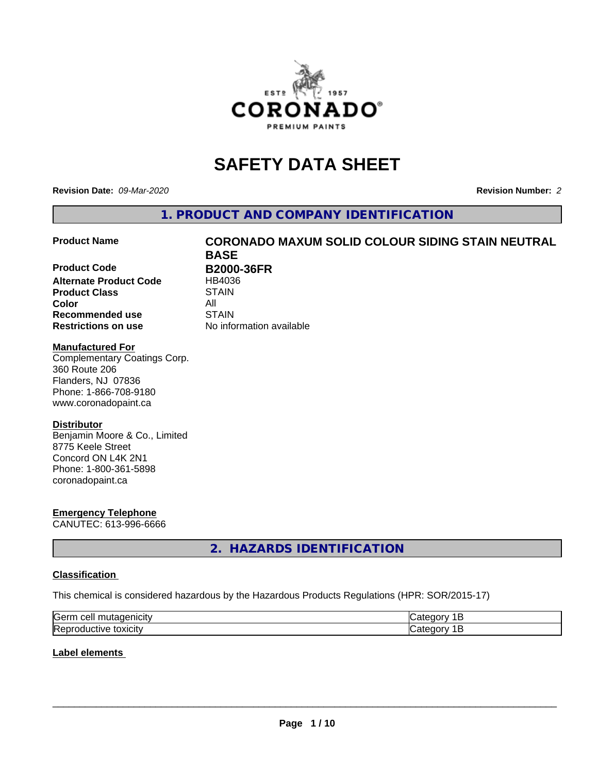

# **SAFETY DATA SHEET**

**Revision Date:** *09-Mar-2020* **Revision Number:** *2*

**1. PRODUCT AND COMPANY IDENTIFICATION**

**Product Code B2000-36FR Alternate Product Code** HB4036 **Product Class STAIN Color** All **Recommended use STAIN Restrictions on use** No information available

# **Product Name CORONADO MAXUM SOLID COLOUR SIDING STAIN NEUTRAL BASE**

#### **Manufactured For**

Complementary Coatings Corp. 360 Route 206 Flanders, NJ 07836 Phone: 1-866-708-9180 www.coronadopaint.ca

### **Distributor**

Benjamin Moore & Co., Limited 8775 Keele Street Concord ON L4K 2N1 Phone: 1-800-361-5898 coronadopaint.ca

# **Emergency Telephone**

CANUTEC: 613-996-6666

# **2. HAZARDS IDENTIFICATION**

### **Classification**

This chemical is considered hazardous by the Hazardous Products Regulations (HPR: SOR/2015-17)

| lGeri<br>------<br>.<br> |  |
|--------------------------|--|
| Rer<br>w<br>∵JXIU⊾       |  |

### **Label elements**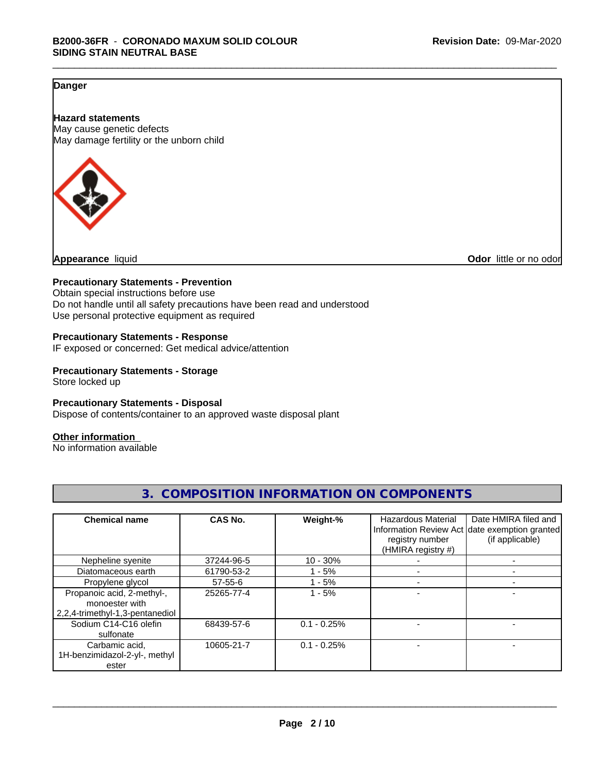## **Danger**

**Hazard statements** May cause genetic defects May damage fertility or the unborn child



**Appearance** liquid **Odor 11** and **Odor 11** and **Odor 11** and **Odor 11** and **Odor Odor 1** and **Odor 1** and **Odor 1** and **Odor 1** and **Odor 1** and **1** and **1** and **1** and **1** and **1** and **1** and **1** and **1** and

### **Precautionary Statements - Prevention**

Obtain special instructions before use Do not handle until all safety precautions have been read and understood Use personal protective equipment as required

#### **Precautionary Statements - Response**

IF exposed or concerned: Get medical advice/attention

## **Precautionary Statements - Storage**

Store locked up

#### **Precautionary Statements - Disposal**

Dispose of contents/container to an approved waste disposal plant

#### **Other information**

No information available

| <b>Chemical name</b>                                                            | <b>CAS No.</b> | Weight-%      | <b>Hazardous Material</b>             | Date HMIRA filed and                                             |
|---------------------------------------------------------------------------------|----------------|---------------|---------------------------------------|------------------------------------------------------------------|
|                                                                                 |                |               | registry number<br>(HMIRA registry #) | Information Review Act date exemption granted<br>(if applicable) |
| Nepheline syenite                                                               | 37244-96-5     | $10 - 30\%$   |                                       |                                                                  |
| Diatomaceous earth                                                              | 61790-53-2     | $1 - 5%$      |                                       |                                                                  |
| Propylene glycol                                                                | $57 - 55 - 6$  | $1 - 5%$      |                                       |                                                                  |
| Propanoic acid, 2-methyl-,<br>monoester with<br>2,2,4-trimethyl-1,3-pentanediol | 25265-77-4     | $1 - 5%$      |                                       |                                                                  |
| Sodium C14-C16 olefin<br>sulfonate                                              | 68439-57-6     | $0.1 - 0.25%$ |                                       |                                                                  |
| Carbamic acid,<br>1H-benzimidazol-2-yl-, methyl<br>ester                        | 10605-21-7     | $0.1 - 0.25%$ |                                       |                                                                  |

# **3. COMPOSITION INFORMATION ON COMPONENTS**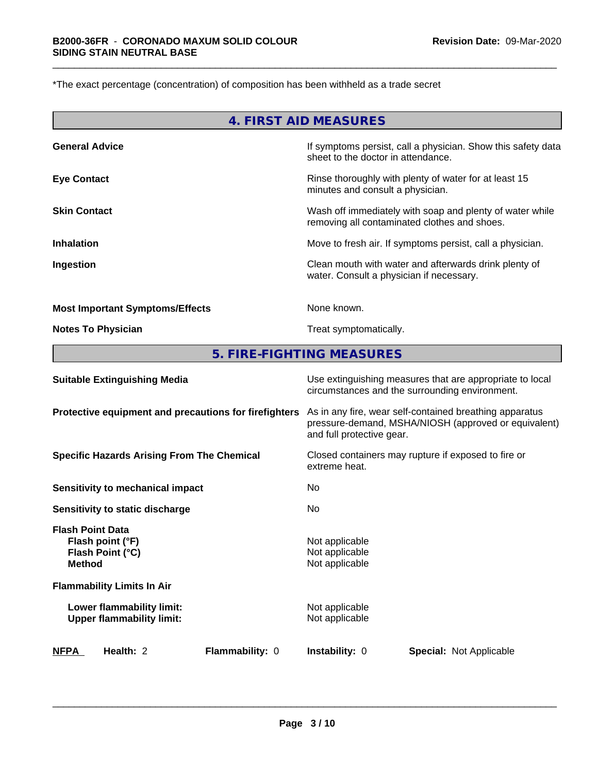\*The exact percentage (concentration) of composition has been withheld as a trade secret

|                                        | 4. FIRST AID MEASURES                                                                                    |
|----------------------------------------|----------------------------------------------------------------------------------------------------------|
| <b>General Advice</b>                  | If symptoms persist, call a physician. Show this safety data<br>sheet to the doctor in attendance.       |
| <b>Eye Contact</b>                     | Rinse thoroughly with plenty of water for at least 15<br>minutes and consult a physician.                |
| <b>Skin Contact</b>                    | Wash off immediately with soap and plenty of water while<br>removing all contaminated clothes and shoes. |
| <b>Inhalation</b>                      | Move to fresh air. If symptoms persist, call a physician.                                                |
| Ingestion                              | Clean mouth with water and afterwards drink plenty of<br>water. Consult a physician if necessary.        |
| <b>Most Important Symptoms/Effects</b> | None known.                                                                                              |
| <b>Notes To Physician</b>              | Treat symptomatically.                                                                                   |
|                                        |                                                                                                          |

**5. FIRE-FIGHTING MEASURES**

| <b>NFPA</b>                                           | Health: 2                                                     | Flammability: 0                                                                                            | <b>Instability: 0</b>                                                                                                                        |  | <b>Special: Not Applicable</b> |  |
|-------------------------------------------------------|---------------------------------------------------------------|------------------------------------------------------------------------------------------------------------|----------------------------------------------------------------------------------------------------------------------------------------------|--|--------------------------------|--|
|                                                       | Lower flammability limit:<br><b>Upper flammability limit:</b> |                                                                                                            | Not applicable<br>Not applicable                                                                                                             |  |                                |  |
|                                                       | <b>Flammability Limits In Air</b>                             |                                                                                                            |                                                                                                                                              |  |                                |  |
| <b>Flash Point Data</b><br><b>Method</b>              | Flash point (°F)<br>Flash Point (°C)                          |                                                                                                            | Not applicable<br>Not applicable<br>Not applicable                                                                                           |  |                                |  |
|                                                       | Sensitivity to static discharge                               |                                                                                                            | No                                                                                                                                           |  |                                |  |
|                                                       | Sensitivity to mechanical impact                              |                                                                                                            | No                                                                                                                                           |  |                                |  |
| <b>Specific Hazards Arising From The Chemical</b>     |                                                               |                                                                                                            | Closed containers may rupture if exposed to fire or<br>extreme heat.                                                                         |  |                                |  |
| Protective equipment and precautions for firefighters |                                                               |                                                                                                            | As in any fire, wear self-contained breathing apparatus<br>pressure-demand, MSHA/NIOSH (approved or equivalent)<br>and full protective gear. |  |                                |  |
| <b>Suitable Extinguishing Media</b>                   |                                                               | Use extinguishing measures that are appropriate to local<br>circumstances and the surrounding environment. |                                                                                                                                              |  |                                |  |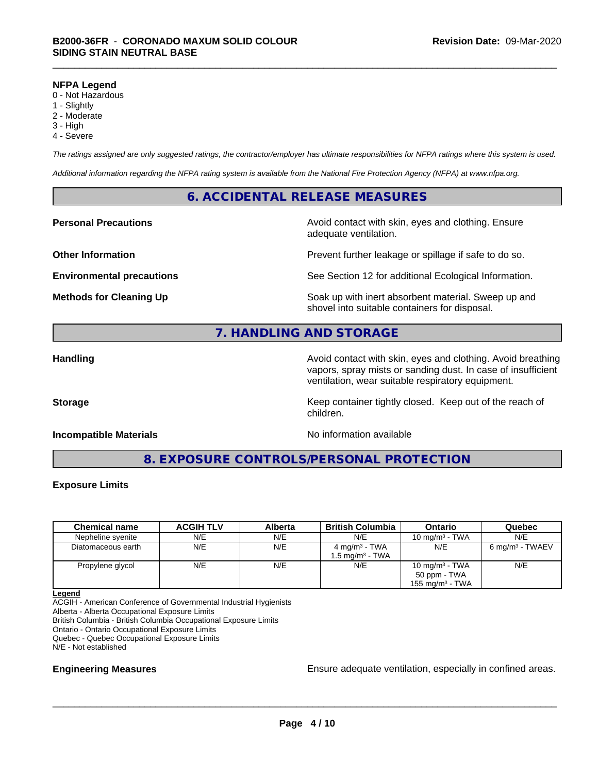#### **NFPA Legend**

- 0 Not Hazardous
- 1 Slightly
- 2 Moderate
- 3 High
- 4 Severe

*The ratings assigned are only suggested ratings, the contractor/employer has ultimate responsibilities for NFPA ratings where this system is used.*

*Additional information regarding the NFPA rating system is available from the National Fire Protection Agency (NFPA) at www.nfpa.org.*

## **6. ACCIDENTAL RELEASE MEASURES**

**Personal Precautions Precautions** Avoid contact with skin, eyes and clothing. Ensure adequate ventilation.

**Other Information Determines According to the Prevent further leakage or spillage if safe to do so.** 

**Environmental precautions** See Section 12 for additional Ecological Information.

**Methods for Cleaning Up Example 20 Soak** up with inert absorbent material. Sweep up and shovel into suitable containers for disposal.

# **7. HANDLING AND STORAGE**

**Handling Handling Avoid contact with skin, eyes and clothing. Avoid breathing H** vapors, spray mists or sanding dust. In case of insufficient ventilation, wear suitable respiratory equipment.

**Storage** Storage **Keep container tightly closed.** Keep out of the reach of

**Incompatible Materials Incompatible Materials No information available** 

**8. EXPOSURE CONTROLS/PERSONAL PROTECTION**

children.

#### **Exposure Limits**

| <b>Chemical name</b> | <b>ACGIH TLV</b> | Alberta | <b>British Columbia</b>  | Ontario            | Quebec                      |
|----------------------|------------------|---------|--------------------------|--------------------|-----------------------------|
| Nepheline syenite    | N/E              | N/E     | N/E                      | 10 mg/m $3$ - TWA  | N/E                         |
| Diatomaceous earth   | N/E              | N/E     | $4 \text{ mg/m}^3$ - TWA | N/E                | 6 mg/m <sup>3</sup> - TWAEV |
|                      |                  |         | 1.5 ma/m $^3$ - TWA      |                    |                             |
| Propylene glycol     | N/E              | N/E     | N/E                      | 10 mg/m $3$ - TWA  | N/E                         |
|                      |                  |         |                          | 50 ppm - TWA       |                             |
|                      |                  |         |                          | 155 mg/m $3$ - TWA |                             |

**Legend**

ACGIH - American Conference of Governmental Industrial Hygienists Alberta - Alberta Occupational Exposure Limits British Columbia - British Columbia Occupational Exposure Limits

Ontario - Ontario Occupational Exposure Limits

Quebec - Quebec Occupational Exposure Limits

N/E - Not established

**Engineering Measures Ensure** Ensure adequate ventilation, especially in confined areas.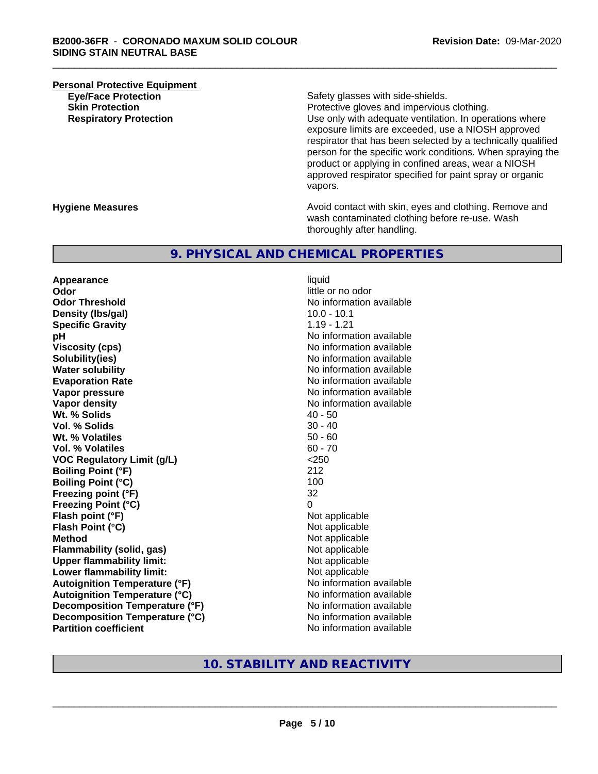# **Personal Protective Equipment**<br> **Eve/Face Protection**

Safety glasses with side-shields.

**Skin Protection Protective gloves and impervious clothing. Respiratory Protection Number 1** (Use only with adequate ventilation. In operations where exposure limits are exceeded, use a NIOSH approved respirator that has been selected by a technically qualified person for the specific work conditions. When spraying the product or applying in confined areas, wear a NIOSH approved respirator specified for paint spray or organic vapors.

**Hygiene Measures Avoid contact with skin, eyes and clothing. Remove and Avoid contact with skin, eyes and clothing. Remove and Avoid contact with skin, eyes and clothing. Remove and** wash contaminated clothing before re-use. Wash thoroughly after handling.

### **9. PHYSICAL AND CHEMICAL PROPERTIES**

**Appearance** liquid **Odor** little or no odor **Odor Threshold** No information available **Density (lbs/gal)** 10.0 - 10.1 **Specific Gravity** 1.19 - 1.21 **pH pH**  $\blacksquare$ **Viscosity (cps)** No information available **Solubility(ies)**<br> **Water solubility**<br> **Water solubility Evaporation Rate No information available No information available Vapor pressure** No information available **No information available Vapor density No information available No information available Wt.** % Solids 40 - 50 **Vol. % Solids** 30 - 40 **Wt. % Volatiles** 50 - 60 **Vol. % Volatiles** 60 - 70 **VOC Regulatory Limit (g/L)** <250 **Boiling Point (°F)** 212 **Boiling Point**  $(^{\circ}C)$  100 **Freezing point (°F)** 32 **Freezing Point (°C)** 0 **Flash point (°F)**<br> **Flash Point (°C)**<br> **Flash Point (°C)**<br> **C Flash Point (°C) Method** Not applicable **Flammability (solid, gas)**<br> **Commability limit:**<br>
Upper flammability limit:<br>
Not applicable **Upper flammability limit:**<br> **Lower flammability limit:** Not applicable Not applicable **Lower flammability limit: Autoignition Temperature (°F)** No information available **Autoignition Temperature (°C)** No information available **Decomposition Temperature (°F)** No information available **Decomposition Temperature (°C)**<br> **Partition coefficient Partition coefficient Partition coefficient Partition coefficient Partition coefficient Partition coefficient Partition coefficient Partition coefficie** 

**No information available No information available** 

## **10. STABILITY AND REACTIVITY**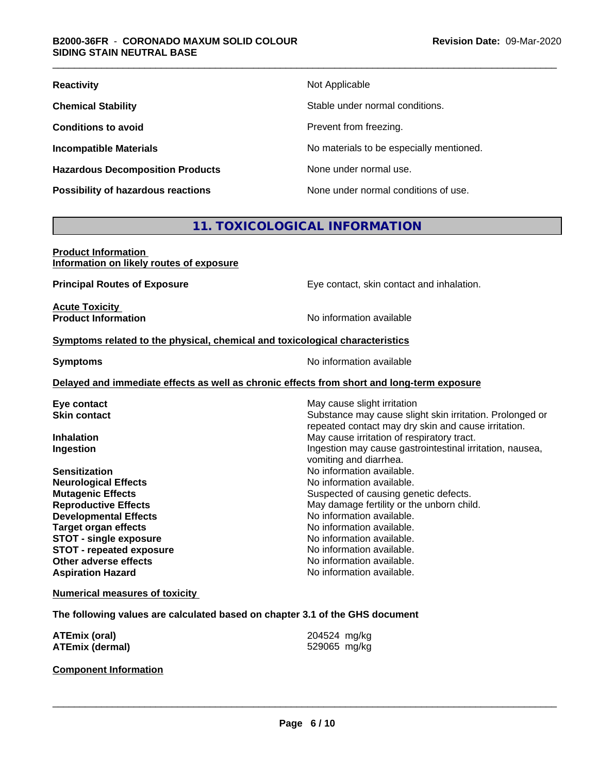| <b>Reactivity</b>                       | Not Applicable                           |
|-----------------------------------------|------------------------------------------|
| <b>Chemical Stability</b>               | Stable under normal conditions.          |
| <b>Conditions to avoid</b>              | Prevent from freezing.                   |
| <b>Incompatible Materials</b>           | No materials to be especially mentioned. |
| <b>Hazardous Decomposition Products</b> | None under normal use.                   |
| Possibility of hazardous reactions      | None under normal conditions of use.     |

# **11. TOXICOLOGICAL INFORMATION**

| <b>Product Information</b>               |  |
|------------------------------------------|--|
| Information on likely routes of exposure |  |

**Principal Routes of Exposure Exposure** Eye contact, skin contact and inhalation.

**Acute Toxicity Product Information** 

#### **Symptoms** related to the physical, chemical and toxicological characteristics

**Symptoms** No information available

#### **Delayed and immediate effects as well as chronic effects from short and long-term exposure**

| Eye contact                     | May cause slight irritation                                                                                     |
|---------------------------------|-----------------------------------------------------------------------------------------------------------------|
| <b>Skin contact</b>             | Substance may cause slight skin irritation. Prolonged or<br>repeated contact may dry skin and cause irritation. |
| <b>Inhalation</b>               | May cause irritation of respiratory tract.                                                                      |
| Ingestion                       | Ingestion may cause gastrointestinal irritation, nausea,<br>vomiting and diarrhea.                              |
| <b>Sensitization</b>            | No information available.                                                                                       |
| <b>Neurological Effects</b>     | No information available.                                                                                       |
| <b>Mutagenic Effects</b>        | Suspected of causing genetic defects.                                                                           |
| <b>Reproductive Effects</b>     | May damage fertility or the unborn child.                                                                       |
| <b>Developmental Effects</b>    | No information available.                                                                                       |
| <b>Target organ effects</b>     | No information available.                                                                                       |
| <b>STOT - single exposure</b>   | No information available.                                                                                       |
| <b>STOT - repeated exposure</b> | No information available.                                                                                       |
| Other adverse effects           | No information available.                                                                                       |
| <b>Aspiration Hazard</b>        | No information available.                                                                                       |
|                                 |                                                                                                                 |

#### **Numerical measures of toxicity**

**The following values are calculated based on chapter 3.1 of the GHS document**

| <b>ATEmix (oral)</b>   | 204524 mg/kg |
|------------------------|--------------|
| <b>ATEmix (dermal)</b> | 529065 mg/kg |

**Component Information**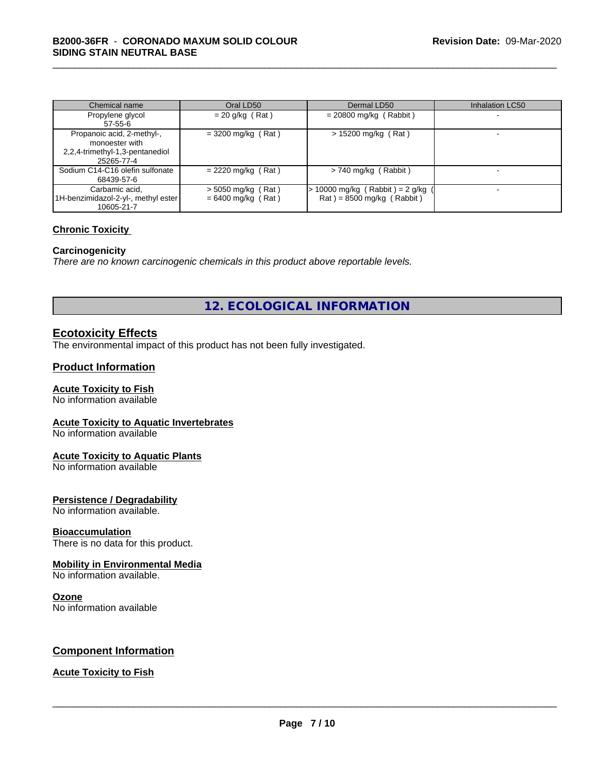| Chemical name                                                                                 | Oral LD50                                    | Dermal LD50                                                      | <b>Inhalation LC50</b> |
|-----------------------------------------------------------------------------------------------|----------------------------------------------|------------------------------------------------------------------|------------------------|
| Propylene glycol<br>57-55-6                                                                   | $= 20$ g/kg (Rat)                            | $= 20800$ mg/kg (Rabbit)                                         |                        |
| Propanoic acid, 2-methyl-,<br>monoester with<br>2,2,4-trimethyl-1,3-pentanediol<br>25265-77-4 | $=$ 3200 mg/kg (Rat)                         | $> 15200$ mg/kg (Rat)                                            |                        |
| Sodium C14-C16 olefin sulfonate<br>68439-57-6                                                 | $= 2220$ mg/kg (Rat)                         | $>$ 740 mg/kg (Rabbit)                                           |                        |
| Carbamic acid.<br>1H-benzimidazol-2-yl-, methyl ester<br>10605-21-7                           | $>$ 5050 mg/kg (Rat)<br>$= 6400$ mg/kg (Rat) | $> 10000$ mg/kg (Rabbit) = 2 g/kg<br>$Rat$ = 8500 mg/kg (Rabbit) |                        |

#### **Chronic Toxicity**

#### **Carcinogenicity**

*There are no known carcinogenic chemicals in this product above reportable levels.*

**12. ECOLOGICAL INFORMATION**

## **Ecotoxicity Effects**

The environmental impact of this product has not been fully investigated.

### **Product Information**

#### **Acute Toxicity to Fish**

No information available

#### **Acute Toxicity to Aquatic Invertebrates**

No information available

#### **Acute Toxicity to Aquatic Plants**

No information available

#### **Persistence / Degradability**

No information available.

#### **Bioaccumulation**

There is no data for this product.

#### **Mobility in Environmental Media**

No information available.

#### **Ozone**

No information available

### **Component Information**

## **Acute Toxicity to Fish**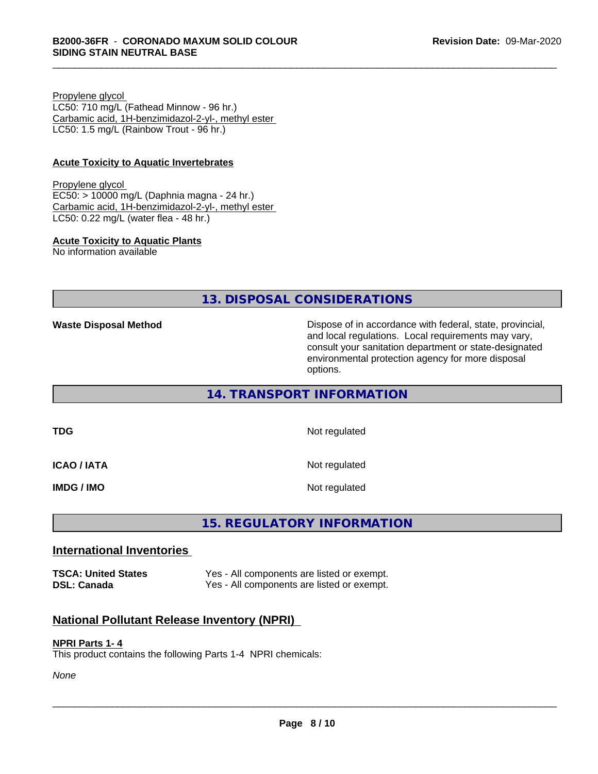Propylene glycol LC50: 710 mg/L (Fathead Minnow - 96 hr.) Carbamic acid, 1H-benzimidazol-2-yl-, methyl ester LC50: 1.5 mg/L (Rainbow Trout - 96 hr.)

#### **Acute Toxicity to Aquatic Invertebrates**

Propylene glycol EC50: > 10000 mg/L (Daphnia magna - 24 hr.) Carbamic acid, 1H-benzimidazol-2-yl-, methyl ester LC50: 0.22 mg/L (water flea - 48 hr.)

#### **Acute Toxicity to Aquatic Plants**

No information available

**13. DISPOSAL CONSIDERATIONS**

**Waste Disposal Method Dispose of in accordance with federal, state, provincial,** and local regulations. Local requirements may vary, consult your sanitation department or state-designated environmental protection agency for more disposal options.

**14. TRANSPORT INFORMATION**

**ICAO / IATA** Not regulated

**TDG** Not regulated

**IMDG / IMO** Not regulated

# **15. REGULATORY INFORMATION**

#### **International Inventories**

**TSCA: United States** Yes - All components are listed or exempt. **DSL: Canada** Yes - All components are listed or exempt.

### **National Pollutant Release Inventory (NPRI)**

#### **NPRI Parts 1- 4**

This product contains the following Parts 1-4 NPRI chemicals:

*None*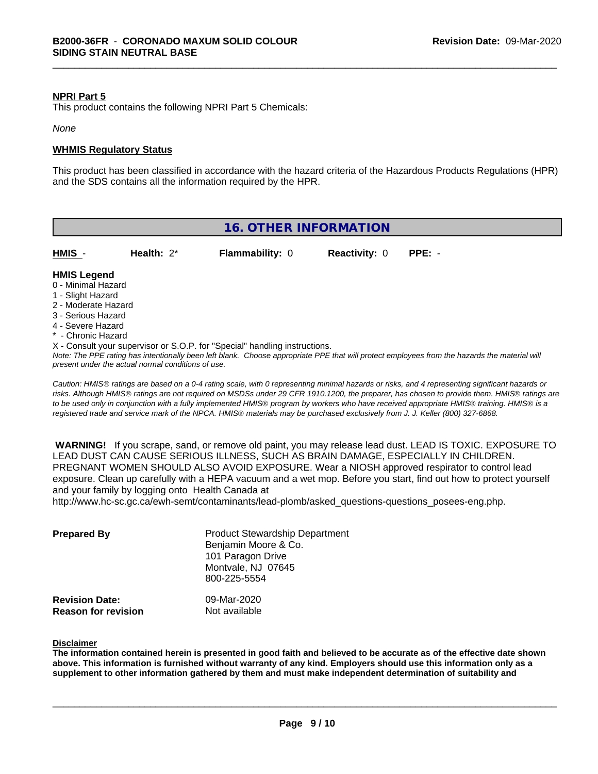#### **NPRI Part 5**

This product contains the following NPRI Part 5 Chemicals:

*None*

#### **WHMIS Regulatory Status**

This product has been classified in accordance with the hazard criteria of the Hazardous Products Regulations (HPR) and the SDS contains all the information required by the HPR.

| <b>16. OTHER INFORMATION</b>                                                                                                                          |                                                    |                                                                                                                               |                      |                                                                                                                                                                                                                                                                                                                                                                                                                                             |
|-------------------------------------------------------------------------------------------------------------------------------------------------------|----------------------------------------------------|-------------------------------------------------------------------------------------------------------------------------------|----------------------|---------------------------------------------------------------------------------------------------------------------------------------------------------------------------------------------------------------------------------------------------------------------------------------------------------------------------------------------------------------------------------------------------------------------------------------------|
| HMIS -                                                                                                                                                | Health: $2^*$                                      | <b>Flammability: 0</b>                                                                                                        | <b>Reactivity: 0</b> | $PPE: -$                                                                                                                                                                                                                                                                                                                                                                                                                                    |
| <b>HMIS Legend</b><br>0 - Minimal Hazard<br>1 - Slight Hazard<br>2 - Moderate Hazard<br>3 - Serious Hazard<br>4 - Severe Hazard<br>* - Chronic Hazard | present under the actual normal conditions of use. | X - Consult your supervisor or S.O.P. for "Special" handling instructions.                                                    |                      | Note: The PPE rating has intentionally been left blank. Choose appropriate PPE that will protect employees from the hazards the material will                                                                                                                                                                                                                                                                                               |
|                                                                                                                                                       |                                                    | registered trade and service mark of the NPCA. HMIS® materials may be purchased exclusively from J. J. Keller (800) 327-6868. |                      | Caution: HMIS® ratings are based on a 0-4 rating scale, with 0 representing minimal hazards or risks, and 4 representing significant hazards or<br>risks. Although HMIS® ratings are not required on MSDSs under 29 CFR 1910.1200, the preparer, has chosen to provide them. HMIS® ratings are<br>to be used only in conjunction with a fully implemented HMIS® program by workers who have received appropriate HMIS® training. HMIS® is a |

 **WARNING!** If you scrape, sand, or remove old paint, you may release lead dust. LEAD IS TOXIC. EXPOSURE TO LEAD DUST CAN CAUSE SERIOUS ILLNESS, SUCH AS BRAIN DAMAGE, ESPECIALLY IN CHILDREN. PREGNANT WOMEN SHOULD ALSO AVOID EXPOSURE. Wear a NIOSH approved respirator to control lead exposure. Clean up carefully with a HEPA vacuum and a wet mop. Before you start, find out how to protect yourself and your family by logging onto Health Canada at

http://www.hc-sc.gc.ca/ewh-semt/contaminants/lead-plomb/asked\_questions-questions\_posees-eng.php.

| <b>Prepared By</b>         | <b>Product Stewardship Department</b><br>Benjamin Moore & Co.<br>101 Paragon Drive<br>Montvale, NJ 07645<br>800-225-5554 |
|----------------------------|--------------------------------------------------------------------------------------------------------------------------|
| <b>Revision Date:</b>      | 09-Mar-2020                                                                                                              |
| <b>Reason for revision</b> | Not available                                                                                                            |

#### **Disclaimer**

The information contained herein is presented in good faith and believed to be accurate as of the effective date shown above. This information is furnished without warranty of any kind. Employers should use this information only as a **supplement to other information gathered by them and must make independent determination of suitability and**